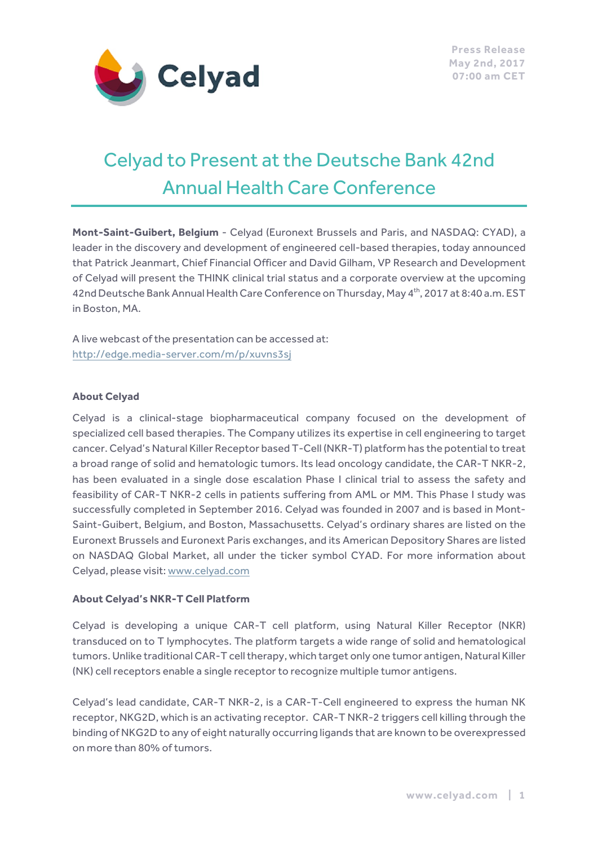

# Celyad to Present at the Deutsche Bank 42nd Annual Health Care Conference

**Mont-Saint-Guibert, Belgium** - Celyad (Euronext Brussels and Paris, and NASDAQ: CYAD), a leader in the discovery and development of engineered cell-based therapies, today announced that Patrick Jeanmart, Chief Financial Officer and David Gilham, VP Research and Development of Celyad will present the THINK clinical trial status and a corporate overview at the upcoming 42nd Deutsche Bank Annual Health Care Conference on Thursday, May 4<sup>th</sup>, 2017 at 8:40 a.m. EST in Boston, MA.

A live webcast of the presentation can be accessed at: http://edge.media-server.com/m/p/xuvns3sj

#### **About Celyad**

Celyad is a clinical-stage biopharmaceutical company focused on the development of specialized cell based therapies. The Company utilizes its expertise in cell engineering to target cancer. Celyad's Natural Killer Receptor based T-Cell (NKR-T) platform has the potential to treat a broad range of solid and hematologic tumors. Its lead oncology candidate, the CAR-T NKR-2, has been evaluated in a single dose escalation Phase I clinical trial to assess the safety and feasibility of CAR-T NKR-2 cells in patients suffering from AML or MM. This Phase I study was successfully completed in September 2016. Celyad was founded in 2007 and is based in Mont-Saint-Guibert, Belgium, and Boston, Massachusetts. Celyad's ordinary shares are listed on the Euronext Brussels and Euronext Paris exchanges, and its American Depository Shares are listed on NASDAQ Global Market, all under the ticker symbol CYAD. For more information about Celyad, please visit: www.celyad.com

#### **About Celyad's NKR-T Cell Platform**

Celyad is developing a unique CAR-T cell platform, using Natural Killer Receptor (NKR) transduced on to T lymphocytes. The platform targets a wide range of solid and hematological tumors. Unlike traditional CAR-T cell therapy, which target only one tumor antigen, Natural Killer (NK) cell receptors enable a single receptor to recognize multiple tumor antigens.

Celyad's lead candidate, CAR-T NKR-2, is a CAR-T-Cell engineered to express the human NK receptor, NKG2D, which is an activating receptor. CAR-T NKR-2 triggers cell killing through the binding of NKG2D to any of eight naturally occurring ligands that are known to be overexpressed on more than 80% of tumors.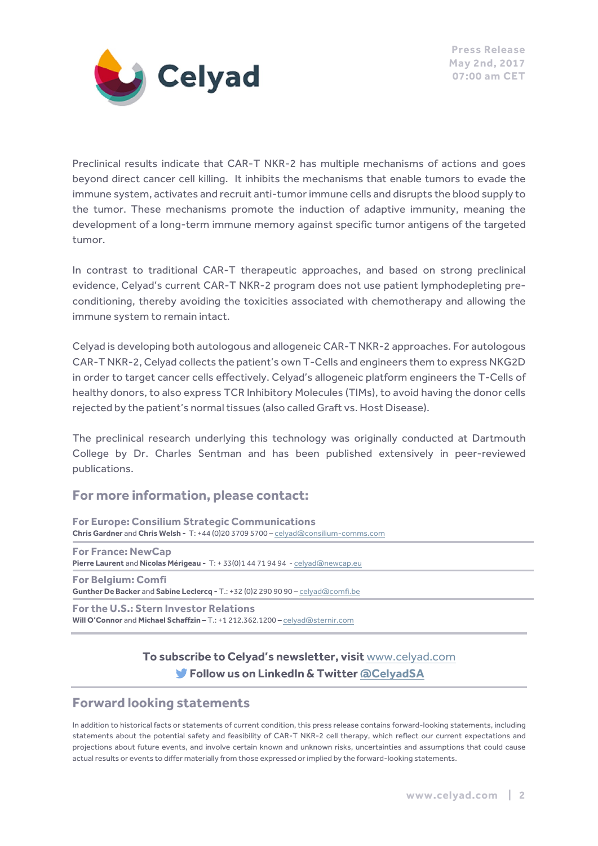

Preclinical results indicate that CAR-T NKR-2 has multiple mechanisms of actions and goes beyond direct cancer cell killing. It inhibits the mechanisms that enable tumors to evade the immune system, activates and recruit anti-tumor immune cells and disrupts the blood supply to the tumor. These mechanisms promote the induction of adaptive immunity, meaning the development of a long-term immune memory against specific tumor antigens of the targeted tumor.

In contrast to traditional CAR-T therapeutic approaches, and based on strong preclinical evidence, Celyad's current CAR-T NKR-2 program does not use patient lymphodepleting preconditioning, thereby avoiding the toxicities associated with chemotherapy and allowing the immune system to remain intact.

Celyad is developing both autologous and allogeneic CAR-T NKR-2 approaches. For autologous CAR-T NKR-2, Celyad collects the patient's own T-Cells and engineers them to express NKG2D in order to target cancer cells effectively. Celyad's allogeneic platform engineers the T-Cells of healthy donors, to also express TCR Inhibitory Molecules (TIMs), to avoid having the donor cells rejected by the patient's normal tissues (also called Graft vs. Host Disease).

The preclinical research underlying this technology was originally conducted at Dartmouth College by Dr. Charles Sentman and has been published extensively in peer-reviewed publications.

## **For more information, please contact:**

**For Europe: Consilium Strategic Communications Chris Gardner** and **Chris Welsh -** T: +44 (0)20 3709 5700 – celyad@consilium-comms.com

**For France: NewCap Pierre Laurent** and **Nicolas Mérigeau -** T: + 33(0)1 44 71 94 94 - celyad@newcap.eu **For Belgium: Comfi**

**Gunther De Backer** and **Sabine Leclercq -** T.: +32 (0)2 290 90 90 – celyad@comfi.be **For the U.S.: Stern Investor Relations**

**Will O'Connor** and **Michael Schaffzin –** T.: +1 212.362.1200 **–** celyad@sternir.com

## **To subscribe to Celyad's newsletter, visit** www.celyad.com **Follow us on LinkedIn & Twitter @CelyadSA**

## **Forward looking statements**

In addition to historical facts or statements of current condition, this press release contains forward-looking statements, including statements about the potential safety and feasibility of CAR-T NKR-2 cell therapy, which reflect our current expectations and projections about future events, and involve certain known and unknown risks, uncertainties and assumptions that could cause actual results or events to differ materially from those expressed or implied by the forward-looking statements.